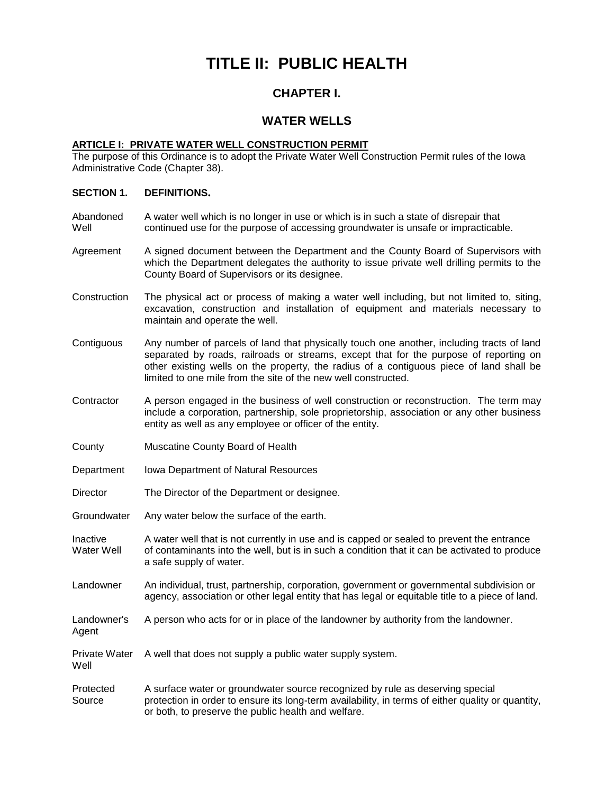# **TITLE II: PUBLIC HEALTH**

# **CHAPTER I.**

# **WATER WELLS**

# **ARTICLE I: PRIVATE WATER WELL CONSTRUCTION PERMIT**

The purpose of this Ordinance is to adopt the Private Water Well Construction Permit rules of the Iowa Administrative Code (Chapter 38).

#### **SECTION 1. DEFINITIONS.**

- Abandoned A water well which is no longer in use or which is in such a state of disrepair that Well continued use for the purpose of accessing groundwater is unsafe or impracticable.
- Agreement A signed document between the Department and the County Board of Supervisors with which the Department delegates the authority to issue private well drilling permits to the County Board of Supervisors or its designee.
- Construction The physical act or process of making a water well including, but not limited to, siting, excavation, construction and installation of equipment and materials necessary to maintain and operate the well.
- Contiguous Any number of parcels of land that physically touch one another, including tracts of land separated by roads, railroads or streams, except that for the purpose of reporting on other existing wells on the property, the radius of a contiguous piece of land shall be limited to one mile from the site of the new well constructed.
- Contractor A person engaged in the business of well construction or reconstruction. The term may include a corporation, partnership, sole proprietorship, association or any other business entity as well as any employee or officer of the entity.
- County Muscatine County Board of Health

Agent

Well

- Department Iowa Department of Natural Resources
- Director The Director of the Department or designee.
- Groundwater Any water below the surface of the earth.
- Inactive A water well that is not currently in use and is capped or sealed to prevent the entrance Water Well of contaminants into the well, but is in such a condition that it can be activated to produce a safe supply of water.
- Landowner An individual, trust, partnership, corporation, government or governmental subdivision or agency, association or other legal entity that has legal or equitable title to a piece of land.
- Landowner's A person who acts for or in place of the landowner by authority from the landowner.
- Private Water A well that does not supply a public water supply system.
- Protected A surface water or groundwater source recognized by rule as deserving special Source protection in order to ensure its long-term availability, in terms of either quality or quantity, or both, to preserve the public health and welfare.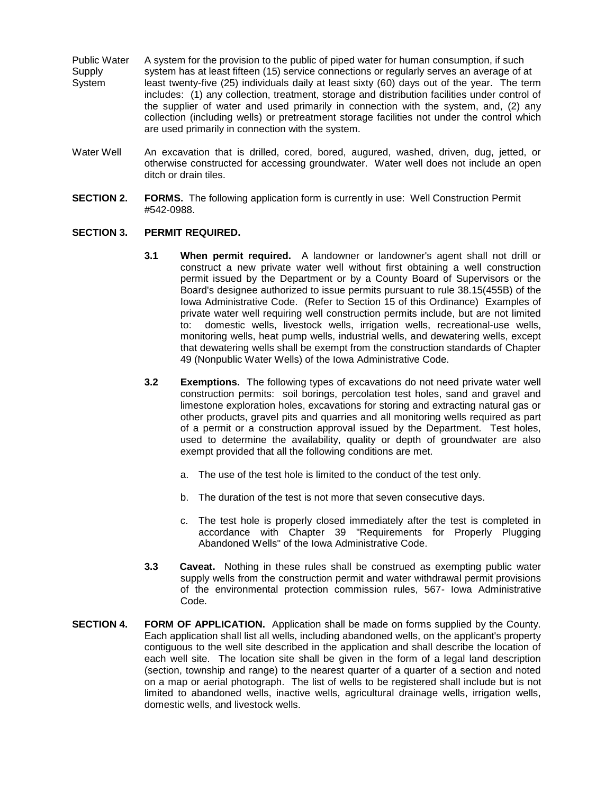- Public Water A system for the provision to the public of piped water for human consumption, if such Supply system has at least fifteen (15) service connections or regularly serves an average of at System least twenty-five (25) individuals daily at least sixty (60) days out of the year. The term includes: (1) any collection, treatment, storage and distribution facilities under control of the supplier of water and used primarily in connection with the system, and, (2) any collection (including wells) or pretreatment storage facilities not under the control which are used primarily in connection with the system.
- Water Well An excavation that is drilled, cored, bored, augured, washed, driven, dug, jetted, or otherwise constructed for accessing groundwater. Water well does not include an open ditch or drain tiles.
- **SECTION 2. FORMS.** The following application form is currently in use: Well Construction Permit #542-0988.

## **SECTION 3. PERMIT REQUIRED.**

- **3.1 When permit required.** A landowner or landowner's agent shall not drill or construct a new private water well without first obtaining a well construction permit issued by the Department or by a County Board of Supervisors or the Board's designee authorized to issue permits pursuant to rule 38.15(455B) of the Iowa Administrative Code. (Refer to Section 15 of this Ordinance) Examples of private water well requiring well construction permits include, but are not limited to: domestic wells, livestock wells, irrigation wells, recreational-use wells, monitoring wells, heat pump wells, industrial wells, and dewatering wells, except that dewatering wells shall be exempt from the construction standards of Chapter 49 (Nonpublic Water Wells) of the Iowa Administrative Code.
- **3.2 Exemptions.** The following types of excavations do not need private water well construction permits: soil borings, percolation test holes, sand and gravel and limestone exploration holes, excavations for storing and extracting natural gas or other products, gravel pits and quarries and all monitoring wells required as part of a permit or a construction approval issued by the Department. Test holes, used to determine the availability, quality or depth of groundwater are also exempt provided that all the following conditions are met.
	- a. The use of the test hole is limited to the conduct of the test only.
	- b. The duration of the test is not more that seven consecutive days.
	- c. The test hole is properly closed immediately after the test is completed in accordance with Chapter 39 "Requirements for Properly Plugging Abandoned Wells" of the Iowa Administrative Code.
- **3.3 Caveat.** Nothing in these rules shall be construed as exempting public water supply wells from the construction permit and water withdrawal permit provisions of the environmental protection commission rules, 567- Iowa Administrative Code.
- **SECTION 4. FORM OF APPLICATION.** Application shall be made on forms supplied by the County. Each application shall list all wells, including abandoned wells, on the applicant's property contiguous to the well site described in the application and shall describe the location of each well site. The location site shall be given in the form of a legal land description (section, township and range) to the nearest quarter of a quarter of a section and noted on a map or aerial photograph. The list of wells to be registered shall include but is not limited to abandoned wells, inactive wells, agricultural drainage wells, irrigation wells, domestic wells, and livestock wells.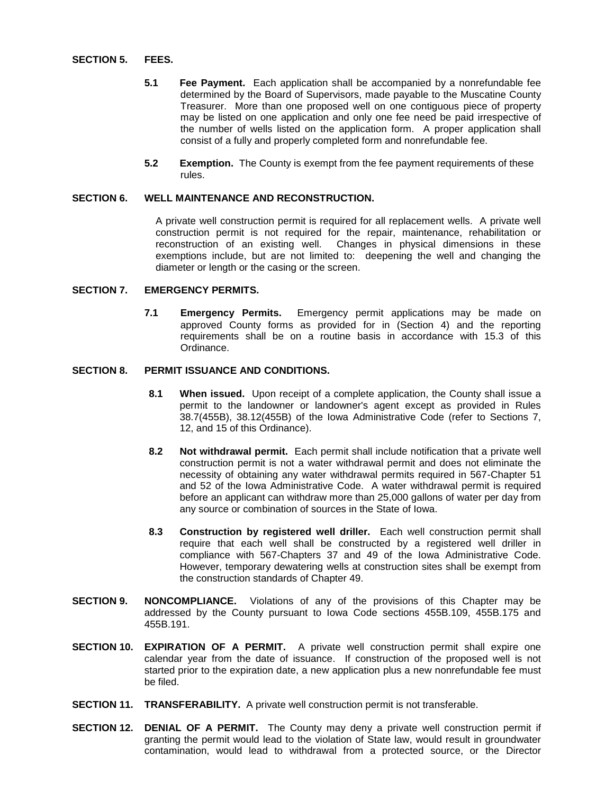#### **SECTION 5. FEES.**

- **5.1 Fee Payment.** Each application shall be accompanied by a nonrefundable fee determined by the Board of Supervisors, made payable to the Muscatine County Treasurer. More than one proposed well on one contiguous piece of property may be listed on one application and only one fee need be paid irrespective of the number of wells listed on the application form. A proper application shall consist of a fully and properly completed form and nonrefundable fee.
- **5.2 Exemption.** The County is exempt from the fee payment requirements of these rules.

# **SECTION 6. WELL MAINTENANCE AND RECONSTRUCTION.**

A private well construction permit is required for all replacement wells. A private well construction permit is not required for the repair, maintenance, rehabilitation or reconstruction of an existing well. Changes in physical dimensions in these exemptions include, but are not limited to: deepening the well and changing the diameter or length or the casing or the screen.

#### **SECTION 7. EMERGENCY PERMITS.**

**7.1 Emergency Permits.** Emergency permit applications may be made on approved County forms as provided for in (Section 4) and the reporting requirements shall be on a routine basis in accordance with 15.3 of this Ordinance.

## **SECTION 8. PERMIT ISSUANCE AND CONDITIONS.**

- **8.1 When issued.** Upon receipt of a complete application, the County shall issue a permit to the landowner or landowner's agent except as provided in Rules 38.7(455B), 38.12(455B) of the Iowa Administrative Code (refer to Sections 7, 12, and 15 of this Ordinance).
- **8.2 Not withdrawal permit.** Each permit shall include notification that a private well construction permit is not a water withdrawal permit and does not eliminate the necessity of obtaining any water withdrawal permits required in 567-Chapter 51 and 52 of the Iowa Administrative Code. A water withdrawal permit is required before an applicant can withdraw more than 25,000 gallons of water per day from any source or combination of sources in the State of Iowa.
- **8.3 Construction by registered well driller.** Each well construction permit shall require that each well shall be constructed by a registered well driller in compliance with 567-Chapters 37 and 49 of the Iowa Administrative Code. However, temporary dewatering wells at construction sites shall be exempt from the construction standards of Chapter 49.
- **SECTION 9. NONCOMPLIANCE.** Violations of any of the provisions of this Chapter may be addressed by the County pursuant to Iowa Code sections 455B.109, 455B.175 and 455B.191.
- **SECTION 10. EXPIRATION OF A PERMIT.** A private well construction permit shall expire one calendar year from the date of issuance. If construction of the proposed well is not started prior to the expiration date, a new application plus a new nonrefundable fee must be filed.
- **SECTION 11. TRANSFERABILITY.** A private well construction permit is not transferable.
- **SECTION 12. DENIAL OF A PERMIT.** The County may deny a private well construction permit if granting the permit would lead to the violation of State law, would result in groundwater contamination, would lead to withdrawal from a protected source, or the Director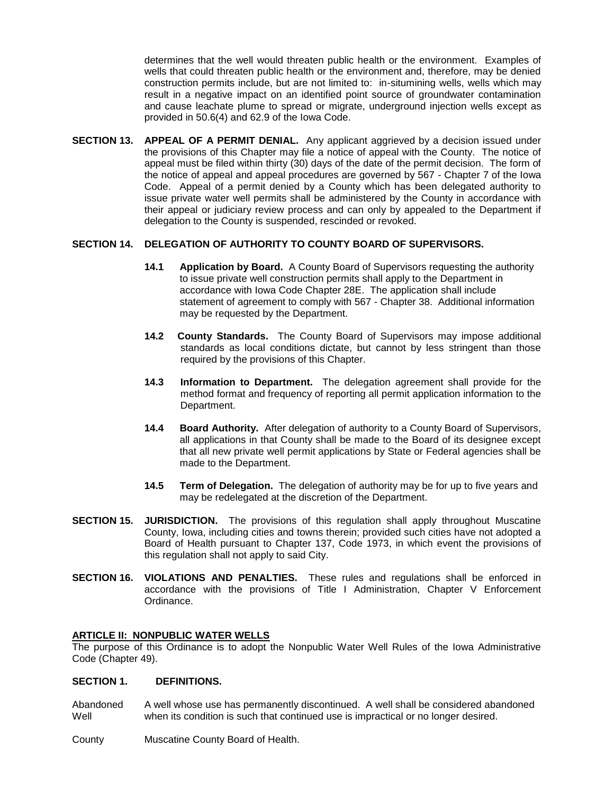determines that the well would threaten public health or the environment. Examples of wells that could threaten public health or the environment and, therefore, may be denied construction permits include, but are not limited to: in-situmining wells, wells which may result in a negative impact on an identified point source of groundwater contamination and cause leachate plume to spread or migrate, underground injection wells except as provided in 50.6(4) and 62.9 of the Iowa Code.

**SECTION 13. APPEAL OF A PERMIT DENIAL.** Any applicant aggrieved by a decision issued under the provisions of this Chapter may file a notice of appeal with the County. The notice of appeal must be filed within thirty (30) days of the date of the permit decision. The form of the notice of appeal and appeal procedures are governed by 567 - Chapter 7 of the Iowa Code. Appeal of a permit denied by a County which has been delegated authority to issue private water well permits shall be administered by the County in accordance with their appeal or judiciary review process and can only by appealed to the Department if delegation to the County is suspended, rescinded or revoked.

# **SECTION 14. DELEGATION OF AUTHORITY TO COUNTY BOARD OF SUPERVISORS.**

- **14.1 Application by Board.** A County Board of Supervisors requesting the authority to issue private well construction permits shall apply to the Department in accordance with Iowa Code Chapter 28E. The application shall include statement of agreement to comply with 567 - Chapter 38. Additional information may be requested by the Department.
- **14.2 County Standards.** The County Board of Supervisors may impose additional standards as local conditions dictate, but cannot by less stringent than those required by the provisions of this Chapter.
- **14.3 Information to Department.** The delegation agreement shall provide for the method format and frequency of reporting all permit application information to the Department.
- **14.4 Board Authority.** After delegation of authority to a County Board of Supervisors, all applications in that County shall be made to the Board of its designee except that all new private well permit applications by State or Federal agencies shall be made to the Department.
- **14.5 Term of Delegation.** The delegation of authority may be for up to five years and may be redelegated at the discretion of the Department.
- **SECTION 15. JURISDICTION.** The provisions of this regulation shall apply throughout Muscatine County, Iowa, including cities and towns therein; provided such cities have not adopted a Board of Health pursuant to Chapter 137, Code 1973, in which event the provisions of this regulation shall not apply to said City.
- **SECTION 16. VIOLATIONS AND PENALTIES.** These rules and regulations shall be enforced in accordance with the provisions of Title I Administration, Chapter V Enforcement Ordinance.

#### **ARTICLE II: NONPUBLIC WATER WELLS**

The purpose of this Ordinance is to adopt the Nonpublic Water Well Rules of the Iowa Administrative Code (Chapter 49).

#### **SECTION 1. DEFINITIONS.**

Abandoned A well whose use has permanently discontinued. A well shall be considered abandoned Well when its condition is such that continued use is impractical or no longer desired.

County Muscatine County Board of Health.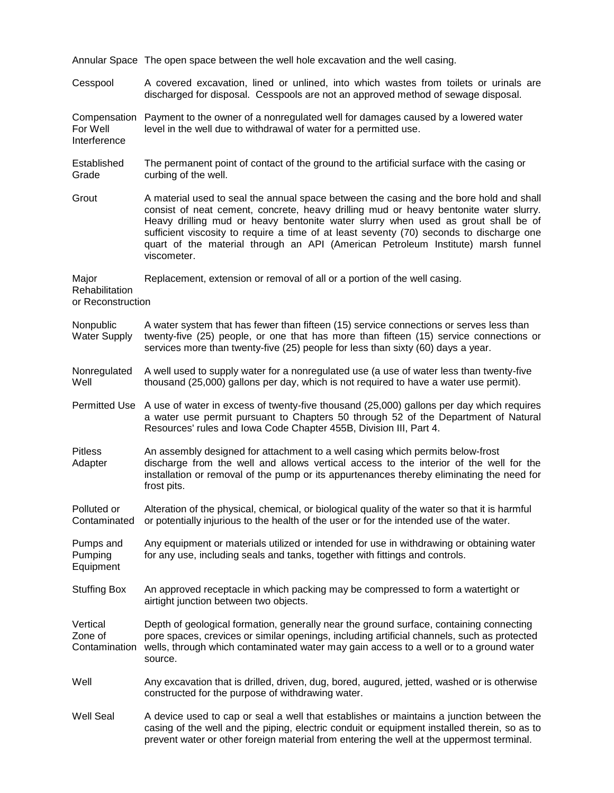|                                              | Annular Space The open space between the well hole excavation and the well casing.                                                                                                                                                                                                                                                                                                                                                                                   |
|----------------------------------------------|----------------------------------------------------------------------------------------------------------------------------------------------------------------------------------------------------------------------------------------------------------------------------------------------------------------------------------------------------------------------------------------------------------------------------------------------------------------------|
| Cesspool                                     | A covered excavation, lined or unlined, into which wastes from toilets or urinals are<br>discharged for disposal. Cesspools are not an approved method of sewage disposal.                                                                                                                                                                                                                                                                                           |
| Compensation<br>For Well<br>Interference     | Payment to the owner of a nonregulated well for damages caused by a lowered water<br>level in the well due to withdrawal of water for a permitted use.                                                                                                                                                                                                                                                                                                               |
| Established<br>Grade                         | The permanent point of contact of the ground to the artificial surface with the casing or<br>curbing of the well.                                                                                                                                                                                                                                                                                                                                                    |
| Grout                                        | A material used to seal the annual space between the casing and the bore hold and shall<br>consist of neat cement, concrete, heavy drilling mud or heavy bentonite water slurry.<br>Heavy drilling mud or heavy bentonite water slurry when used as grout shall be of<br>sufficient viscosity to require a time of at least seventy (70) seconds to discharge one<br>quart of the material through an API (American Petroleum Institute) marsh funnel<br>viscometer. |
| Major<br>Rehabilitation<br>or Reconstruction | Replacement, extension or removal of all or a portion of the well casing.                                                                                                                                                                                                                                                                                                                                                                                            |
| Nonpublic<br><b>Water Supply</b>             | A water system that has fewer than fifteen (15) service connections or serves less than<br>twenty-five (25) people, or one that has more than fifteen (15) service connections or<br>services more than twenty-five (25) people for less than sixty (60) days a year.                                                                                                                                                                                                |
| Nonregulated<br>Well                         | A well used to supply water for a nonregulated use (a use of water less than twenty-five<br>thousand (25,000) gallons per day, which is not required to have a water use permit).                                                                                                                                                                                                                                                                                    |
|                                              | Permitted Use A use of water in excess of twenty-five thousand (25,000) gallons per day which requires<br>a water use permit pursuant to Chapters 50 through 52 of the Department of Natural<br>Resources' rules and Iowa Code Chapter 455B, Division III, Part 4.                                                                                                                                                                                                   |
| <b>Pitless</b><br>Adapter                    | An assembly designed for attachment to a well casing which permits below-frost<br>discharge from the well and allows vertical access to the interior of the well for the<br>installation or removal of the pump or its appurtenances thereby eliminating the need for<br>frost pits.                                                                                                                                                                                 |
| Polluted or<br>Contaminated                  | Alteration of the physical, chemical, or biological quality of the water so that it is harmful<br>or potentially injurious to the health of the user or for the intended use of the water.                                                                                                                                                                                                                                                                           |
| Pumps and<br>Pumping<br>Equipment            | Any equipment or materials utilized or intended for use in withdrawing or obtaining water<br>for any use, including seals and tanks, together with fittings and controls.                                                                                                                                                                                                                                                                                            |
| <b>Stuffing Box</b>                          | An approved receptacle in which packing may be compressed to form a watertight or<br>airtight junction between two objects.                                                                                                                                                                                                                                                                                                                                          |
| Vertical<br>Zone of<br>Contamination         | Depth of geological formation, generally near the ground surface, containing connecting<br>pore spaces, crevices or similar openings, including artificial channels, such as protected<br>wells, through which contaminated water may gain access to a well or to a ground water<br>source.                                                                                                                                                                          |
| Well                                         | Any excavation that is drilled, driven, dug, bored, augured, jetted, washed or is otherwise<br>constructed for the purpose of withdrawing water.                                                                                                                                                                                                                                                                                                                     |
| <b>Well Seal</b>                             | A device used to cap or seal a well that establishes or maintains a junction between the<br>casing of the well and the piping, electric conduit or equipment installed therein, so as to<br>prevent water or other foreign material from entering the well at the uppermost terminal.                                                                                                                                                                                |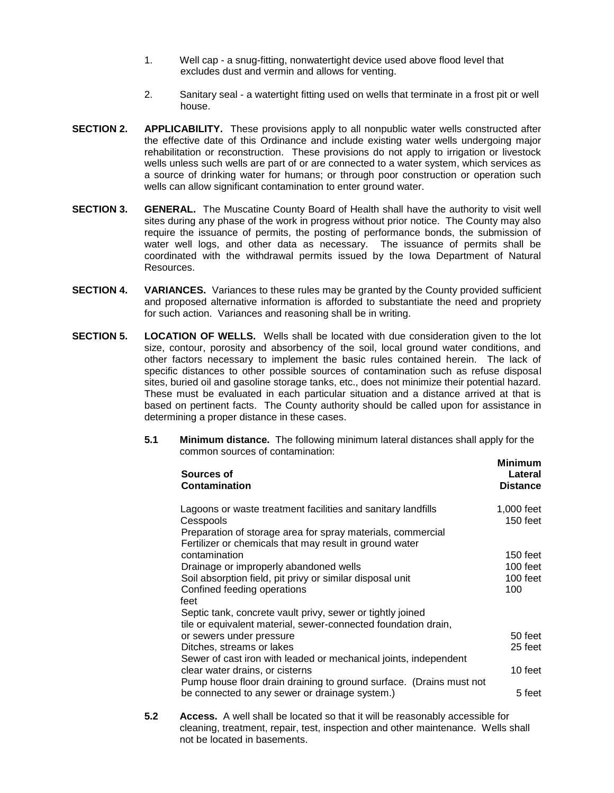- 1. Well cap a snug-fitting, nonwatertight device used above flood level that excludes dust and vermin and allows for venting.
- 2. Sanitary seal a watertight fitting used on wells that terminate in a frost pit or well house.
- **SECTION 2. APPLICABILITY.** These provisions apply to all nonpublic water wells constructed after the effective date of this Ordinance and include existing water wells undergoing major rehabilitation or reconstruction. These provisions do not apply to irrigation or livestock wells unless such wells are part of or are connected to a water system, which services as a source of drinking water for humans; or through poor construction or operation such wells can allow significant contamination to enter ground water.
- **SECTION 3. GENERAL.** The Muscatine County Board of Health shall have the authority to visit well sites during any phase of the work in progress without prior notice. The County may also require the issuance of permits, the posting of performance bonds, the submission of water well logs, and other data as necessary. The issuance of permits shall be coordinated with the withdrawal permits issued by the Iowa Department of Natural Resources.
- **SECTION 4. VARIANCES.** Variances to these rules may be granted by the County provided sufficient and proposed alternative information is afforded to substantiate the need and propriety for such action. Variances and reasoning shall be in writing.
- **SECTION 5. LOCATION OF WELLS.** Wells shall be located with due consideration given to the lot size, contour, porosity and absorbency of the soil, local ground water conditions, and other factors necessary to implement the basic rules contained herein. The lack of specific distances to other possible sources of contamination such as refuse disposal sites, buried oil and gasoline storage tanks, etc., does not minimize their potential hazard. These must be evaluated in each particular situation and a distance arrived at that is based on pertinent facts. The County authority should be called upon for assistance in determining a proper distance in these cases.
	- **5.1 Minimum distance.** The following minimum lateral distances shall apply for the common sources of contamination:

| Sources of<br>Contamination                                                                                                                                                                                                  | Minimum<br>Lateral<br><b>Distance</b>   |
|------------------------------------------------------------------------------------------------------------------------------------------------------------------------------------------------------------------------------|-----------------------------------------|
| Lagoons or waste treatment facilities and sanitary landfills<br>Cesspools<br>Preparation of storage area for spray materials, commercial<br>Fertilizer or chemicals that may result in ground water                          | 1,000 feet<br>150 feet                  |
| contamination<br>Drainage or improperly abandoned wells<br>Soil absorption field, pit privy or similar disposal unit<br>Confined feeding operations<br>feet                                                                  | 150 feet<br>100 feet<br>100 feet<br>100 |
| Septic tank, concrete vault privy, sewer or tightly joined<br>tile or equivalent material, sewer-connected foundation drain,<br>or sewers under pressure<br>Ditches, streams or lakes                                        | 50 feet<br>25 feet                      |
| Sewer of cast iron with leaded or mechanical joints, independent<br>clear water drains, or cisterns<br>Pump house floor drain draining to ground surface. (Drains must not<br>be connected to any sewer or drainage system.) | 10 feet<br>5 feet                       |
|                                                                                                                                                                                                                              |                                         |

**5.2 Access.** A well shall be located so that it will be reasonably accessible for cleaning, treatment, repair, test, inspection and other maintenance. Wells shall not be located in basements.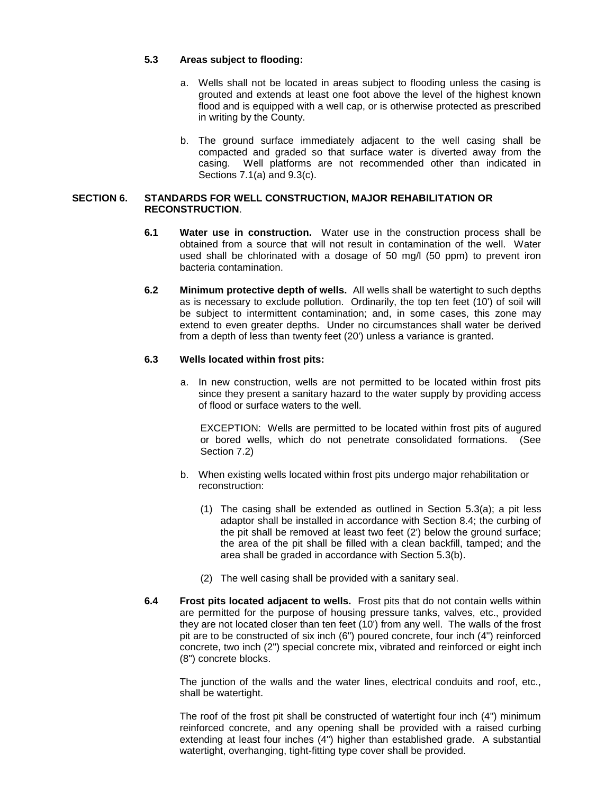## **5.3 Areas subject to flooding:**

- a. Wells shall not be located in areas subject to flooding unless the casing is grouted and extends at least one foot above the level of the highest known flood and is equipped with a well cap, or is otherwise protected as prescribed in writing by the County.
- b. The ground surface immediately adjacent to the well casing shall be compacted and graded so that surface water is diverted away from the casing. Well platforms are not recommended other than indicated in Sections 7.1(a) and 9.3(c).

## **SECTION 6. STANDARDS FOR WELL CONSTRUCTION, MAJOR REHABILITATION OR RECONSTRUCTION**.

- **6.1 Water use in construction.** Water use in the construction process shall be obtained from a source that will not result in contamination of the well. Water used shall be chlorinated with a dosage of 50 mg/l (50 ppm) to prevent iron bacteria contamination.
- **6.2 Minimum protective depth of wells.** All wells shall be watertight to such depths as is necessary to exclude pollution. Ordinarily, the top ten feet (10') of soil will be subject to intermittent contamination; and, in some cases, this zone may extend to even greater depths. Under no circumstances shall water be derived from a depth of less than twenty feet (20') unless a variance is granted.

# **6.3 Wells located within frost pits:**

a. In new construction, wells are not permitted to be located within frost pits since they present a sanitary hazard to the water supply by providing access of flood or surface waters to the well.

EXCEPTION: Wells are permitted to be located within frost pits of augured or bored wells, which do not penetrate consolidated formations. (See Section 7.2)

- b. When existing wells located within frost pits undergo major rehabilitation or reconstruction:
	- (1) The casing shall be extended as outlined in Section 5.3(a); a pit less adaptor shall be installed in accordance with Section 8.4; the curbing of the pit shall be removed at least two feet (2') below the ground surface; the area of the pit shall be filled with a clean backfill, tamped; and the area shall be graded in accordance with Section 5.3(b).
	- (2) The well casing shall be provided with a sanitary seal.
- **6.4 Frost pits located adjacent to wells.** Frost pits that do not contain wells within are permitted for the purpose of housing pressure tanks, valves, etc., provided they are not located closer than ten feet (10') from any well. The walls of the frost pit are to be constructed of six inch (6") poured concrete, four inch (4") reinforced concrete, two inch (2") special concrete mix, vibrated and reinforced or eight inch (8") concrete blocks.

The junction of the walls and the water lines, electrical conduits and roof, etc., shall be watertight.

The roof of the frost pit shall be constructed of watertight four inch (4") minimum reinforced concrete, and any opening shall be provided with a raised curbing extending at least four inches (4") higher than established grade. A substantial watertight, overhanging, tight-fitting type cover shall be provided.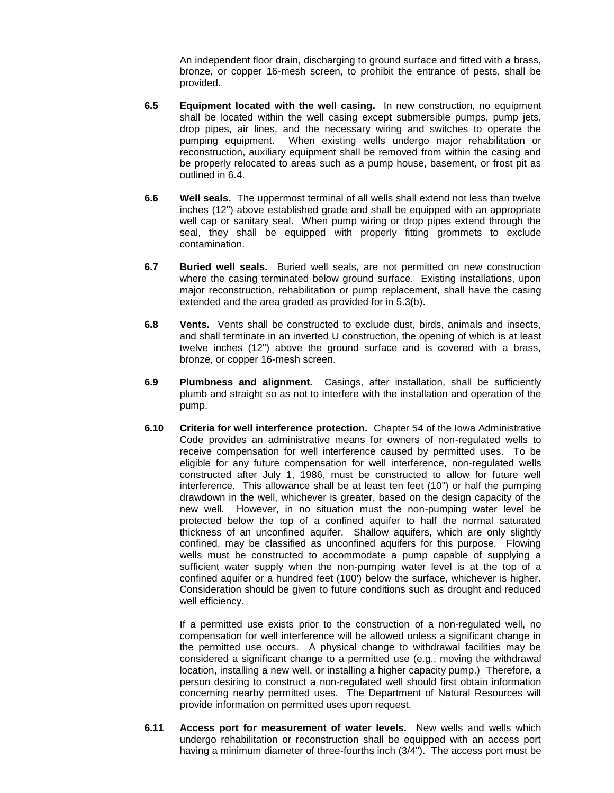An independent floor drain, discharging to ground surface and fitted with a brass, bronze, or copper 16-mesh screen, to prohibit the entrance of pests, shall be provided.

- **6.5 Equipment located with the well casing.** In new construction, no equipment shall be located within the well casing except submersible pumps, pump jets, drop pipes, air lines, and the necessary wiring and switches to operate the pumping equipment. When existing wells undergo major rehabilitation or reconstruction, auxiliary equipment shall be removed from within the casing and be properly relocated to areas such as a pump house, basement, or frost pit as outlined in 6.4.
- **6.6 Well seals.** The uppermost terminal of all wells shall extend not less than twelve inches (12") above established grade and shall be equipped with an appropriate well cap or sanitary seal. When pump wiring or drop pipes extend through the seal, they shall be equipped with properly fitting grommets to exclude contamination.
- **6.7 Buried well seals.** Buried well seals, are not permitted on new construction where the casing terminated below ground surface. Existing installations, upon major reconstruction, rehabilitation or pump replacement, shall have the casing extended and the area graded as provided for in 5.3(b).
- **6.8 Vents.** Vents shall be constructed to exclude dust, birds, animals and insects, and shall terminate in an inverted U construction, the opening of which is at least twelve inches (12") above the ground surface and is covered with a brass, bronze, or copper 16-mesh screen.
- **6.9 Plumbness and alignment.** Casings, after installation, shall be sufficiently plumb and straight so as not to interfere with the installation and operation of the pump.
- **6.10 Criteria for well interference protection.** Chapter 54 of the Iowa Administrative Code provides an administrative means for owners of non-regulated wells to receive compensation for well interference caused by permitted uses. To be eligible for any future compensation for well interference, non-regulated wells constructed after July 1, 1986, must be constructed to allow for future well interference. This allowance shall be at least ten feet (10") or half the pumping drawdown in the well, whichever is greater, based on the design capacity of the new well. However, in no situation must the non-pumping water level be protected below the top of a confined aquifer to half the normal saturated thickness of an unconfined aquifer. Shallow aquifers, which are only slightly confined, may be classified as unconfined aquifers for this purpose. Flowing wells must be constructed to accommodate a pump capable of supplying a sufficient water supply when the non-pumping water level is at the top of a confined aquifer or a hundred feet (100') below the surface, whichever is higher. Consideration should be given to future conditions such as drought and reduced well efficiency.

If a permitted use exists prior to the construction of a non-regulated well, no compensation for well interference will be allowed unless a significant change in the permitted use occurs. A physical change to withdrawal facilities may be considered a significant change to a permitted use (e.g., moving the withdrawal location, installing a new well, or installing a higher capacity pump.) Therefore, a person desiring to construct a non-regulated well should first obtain information concerning nearby permitted uses. The Department of Natural Resources will provide information on permitted uses upon request.

**6.11 Access port for measurement of water levels.** New wells and wells which undergo rehabilitation or reconstruction shall be equipped with an access port having a minimum diameter of three-fourths inch (3/4"). The access port must be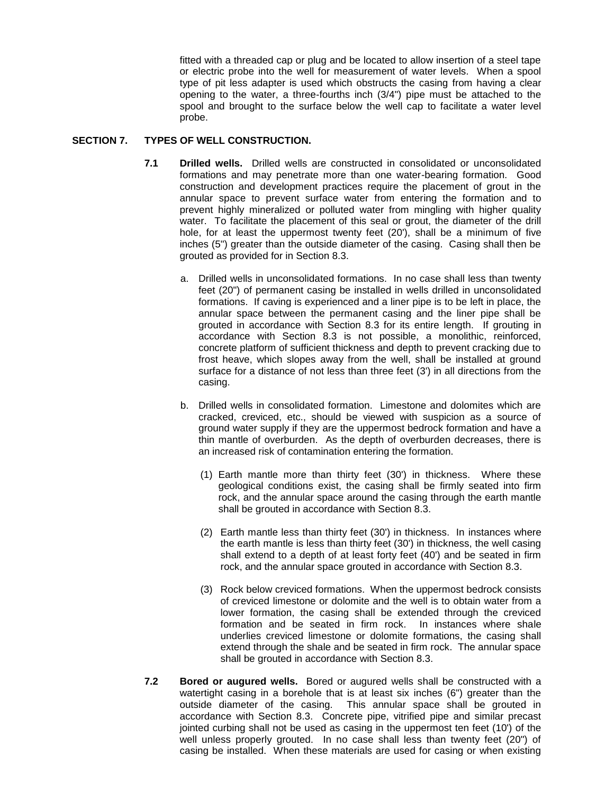fitted with a threaded cap or plug and be located to allow insertion of a steel tape or electric probe into the well for measurement of water levels. When a spool type of pit less adapter is used which obstructs the casing from having a clear opening to the water, a three-fourths inch (3/4") pipe must be attached to the spool and brought to the surface below the well cap to facilitate a water level probe.

## **SECTION 7. TYPES OF WELL CONSTRUCTION.**

- **7.1 Drilled wells.** Drilled wells are constructed in consolidated or unconsolidated formations and may penetrate more than one water-bearing formation. Good construction and development practices require the placement of grout in the annular space to prevent surface water from entering the formation and to prevent highly mineralized or polluted water from mingling with higher quality water. To facilitate the placement of this seal or grout, the diameter of the drill hole, for at least the uppermost twenty feet (20'), shall be a minimum of five inches (5") greater than the outside diameter of the casing. Casing shall then be grouted as provided for in Section 8.3.
	- a. Drilled wells in unconsolidated formations. In no case shall less than twenty feet (20") of permanent casing be installed in wells drilled in unconsolidated formations. If caving is experienced and a liner pipe is to be left in place, the annular space between the permanent casing and the liner pipe shall be grouted in accordance with Section 8.3 for its entire length. If grouting in accordance with Section 8.3 is not possible, a monolithic, reinforced, concrete platform of sufficient thickness and depth to prevent cracking due to frost heave, which slopes away from the well, shall be installed at ground surface for a distance of not less than three feet (3') in all directions from the casing.
	- b. Drilled wells in consolidated formation. Limestone and dolomites which are cracked, creviced, etc., should be viewed with suspicion as a source of ground water supply if they are the uppermost bedrock formation and have a thin mantle of overburden. As the depth of overburden decreases, there is an increased risk of contamination entering the formation.
		- (1) Earth mantle more than thirty feet (30') in thickness. Where these geological conditions exist, the casing shall be firmly seated into firm rock, and the annular space around the casing through the earth mantle shall be grouted in accordance with Section 8.3.
		- (2) Earth mantle less than thirty feet (30') in thickness. In instances where the earth mantle is less than thirty feet (30') in thickness, the well casing shall extend to a depth of at least forty feet (40') and be seated in firm rock, and the annular space grouted in accordance with Section 8.3.
		- (3) Rock below creviced formations. When the uppermost bedrock consists of creviced limestone or dolomite and the well is to obtain water from a lower formation, the casing shall be extended through the creviced formation and be seated in firm rock. In instances where shale underlies creviced limestone or dolomite formations, the casing shall extend through the shale and be seated in firm rock. The annular space shall be grouted in accordance with Section 8.3.
- **7.2 Bored or augured wells.** Bored or augured wells shall be constructed with a watertight casing in a borehole that is at least six inches (6") greater than the outside diameter of the casing. This annular space shall be grouted in accordance with Section 8.3. Concrete pipe, vitrified pipe and similar precast jointed curbing shall not be used as casing in the uppermost ten feet (10') of the well unless properly grouted. In no case shall less than twenty feet (20") of casing be installed. When these materials are used for casing or when existing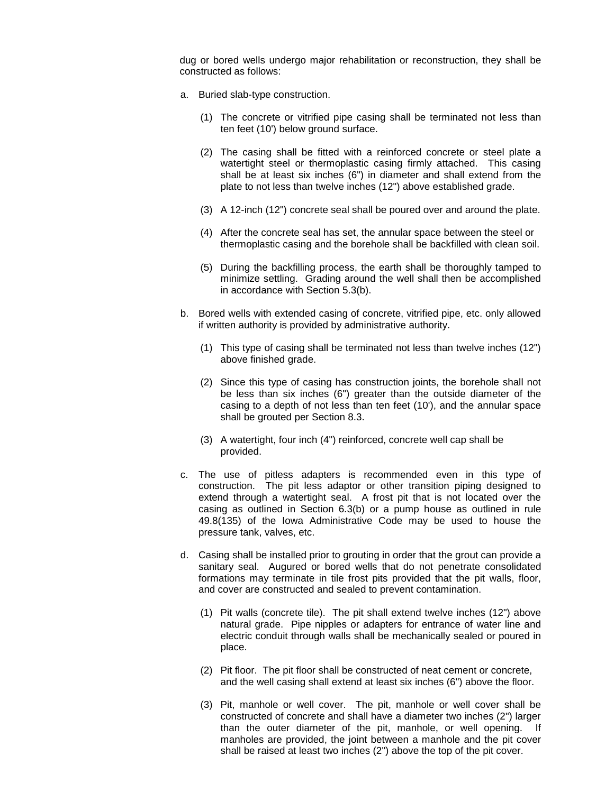dug or bored wells undergo major rehabilitation or reconstruction, they shall be constructed as follows:

- a. Buried slab-type construction.
	- (1) The concrete or vitrified pipe casing shall be terminated not less than ten feet (10') below ground surface.
	- (2) The casing shall be fitted with a reinforced concrete or steel plate a watertight steel or thermoplastic casing firmly attached. This casing shall be at least six inches (6") in diameter and shall extend from the plate to not less than twelve inches (12") above established grade.
	- (3) A 12-inch (12") concrete seal shall be poured over and around the plate.
	- (4) After the concrete seal has set, the annular space between the steel or thermoplastic casing and the borehole shall be backfilled with clean soil.
	- (5) During the backfilling process, the earth shall be thoroughly tamped to minimize settling. Grading around the well shall then be accomplished in accordance with Section 5.3(b).
- b. Bored wells with extended casing of concrete, vitrified pipe, etc. only allowed if written authority is provided by administrative authority.
	- (1) This type of casing shall be terminated not less than twelve inches (12") above finished grade.
	- (2) Since this type of casing has construction joints, the borehole shall not be less than six inches (6") greater than the outside diameter of the casing to a depth of not less than ten feet (10'), and the annular space shall be grouted per Section 8.3.
	- (3) A watertight, four inch (4") reinforced, concrete well cap shall be provided.
- c. The use of pitless adapters is recommended even in this type of construction. The pit less adaptor or other transition piping designed to extend through a watertight seal. A frost pit that is not located over the casing as outlined in Section 6.3(b) or a pump house as outlined in rule 49.8(135) of the Iowa Administrative Code may be used to house the pressure tank, valves, etc.
- d. Casing shall be installed prior to grouting in order that the grout can provide a sanitary seal. Augured or bored wells that do not penetrate consolidated formations may terminate in tile frost pits provided that the pit walls, floor, and cover are constructed and sealed to prevent contamination.
	- (1) Pit walls (concrete tile). The pit shall extend twelve inches (12") above natural grade. Pipe nipples or adapters for entrance of water line and electric conduit through walls shall be mechanically sealed or poured in place.
	- (2) Pit floor. The pit floor shall be constructed of neat cement or concrete, and the well casing shall extend at least six inches (6") above the floor.
	- (3) Pit, manhole or well cover. The pit, manhole or well cover shall be constructed of concrete and shall have a diameter two inches (2") larger than the outer diameter of the pit, manhole, or well opening. If manholes are provided, the joint between a manhole and the pit cover shall be raised at least two inches (2") above the top of the pit cover.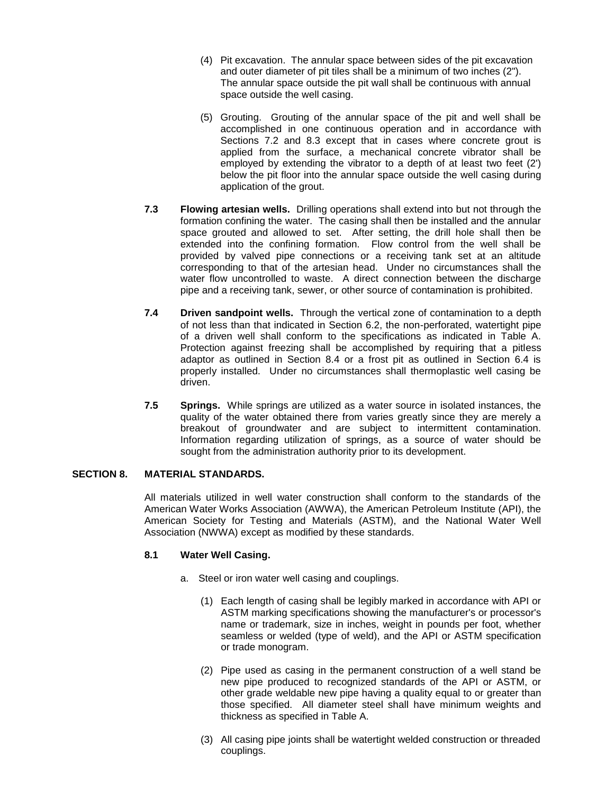- (4) Pit excavation. The annular space between sides of the pit excavation and outer diameter of pit tiles shall be a minimum of two inches (2"). The annular space outside the pit wall shall be continuous with annual space outside the well casing.
- (5) Grouting. Grouting of the annular space of the pit and well shall be accomplished in one continuous operation and in accordance with Sections 7.2 and 8.3 except that in cases where concrete grout is applied from the surface, a mechanical concrete vibrator shall be employed by extending the vibrator to a depth of at least two feet (2') below the pit floor into the annular space outside the well casing during application of the grout.
- **7.3 Flowing artesian wells.** Drilling operations shall extend into but not through the formation confining the water. The casing shall then be installed and the annular space grouted and allowed to set. After setting, the drill hole shall then be extended into the confining formation. Flow control from the well shall be provided by valved pipe connections or a receiving tank set at an altitude corresponding to that of the artesian head. Under no circumstances shall the water flow uncontrolled to waste. A direct connection between the discharge pipe and a receiving tank, sewer, or other source of contamination is prohibited.
- **7.4 Driven sandpoint wells.** Through the vertical zone of contamination to a depth of not less than that indicated in Section 6.2, the non-perforated, watertight pipe of a driven well shall conform to the specifications as indicated in Table A. Protection against freezing shall be accomplished by requiring that a pitless adaptor as outlined in Section 8.4 or a frost pit as outlined in Section 6.4 is properly installed. Under no circumstances shall thermoplastic well casing be driven.
- **7.5 Springs.** While springs are utilized as a water source in isolated instances, the quality of the water obtained there from varies greatly since they are merely a breakout of groundwater and are subject to intermittent contamination. Information regarding utilization of springs, as a source of water should be sought from the administration authority prior to its development.

# **SECTION 8. MATERIAL STANDARDS.**

All materials utilized in well water construction shall conform to the standards of the American Water Works Association (AWWA), the American Petroleum Institute (API), the American Society for Testing and Materials (ASTM), and the National Water Well Association (NWWA) except as modified by these standards.

#### **8.1 Water Well Casing.**

- a. Steel or iron water well casing and couplings.
	- (1) Each length of casing shall be legibly marked in accordance with API or ASTM marking specifications showing the manufacturer's or processor's name or trademark, size in inches, weight in pounds per foot, whether seamless or welded (type of weld), and the API or ASTM specification or trade monogram.
	- (2) Pipe used as casing in the permanent construction of a well stand be new pipe produced to recognized standards of the API or ASTM, or other grade weldable new pipe having a quality equal to or greater than those specified. All diameter steel shall have minimum weights and thickness as specified in Table A.
	- (3) All casing pipe joints shall be watertight welded construction or threaded couplings.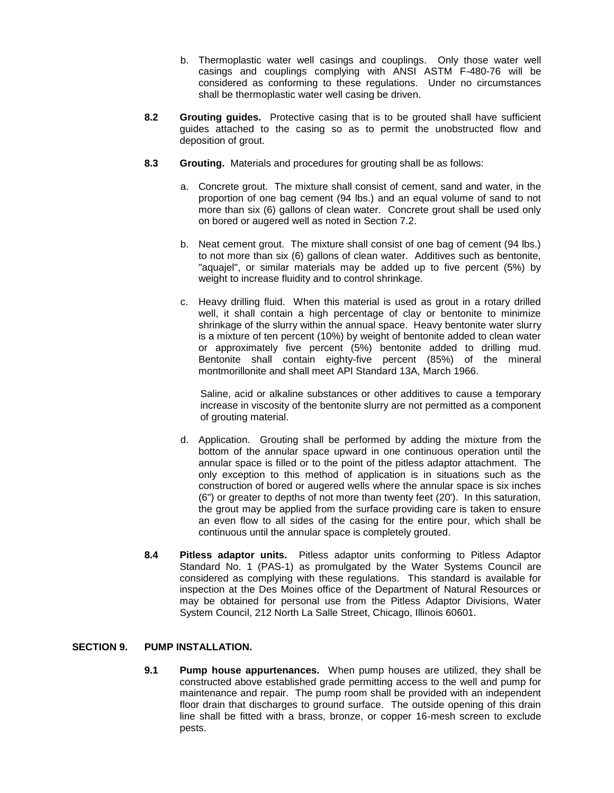- b. Thermoplastic water well casings and couplings. Only those water well casings and couplings complying with ANSI ASTM F-480-76 will be considered as conforming to these regulations. Under no circumstances shall be thermoplastic water well casing be driven.
- **8.2 Grouting guides.** Protective casing that is to be grouted shall have sufficient guides attached to the casing so as to permit the unobstructed flow and deposition of grout.
- **8.3 Grouting.** Materials and procedures for grouting shall be as follows:
	- a. Concrete grout. The mixture shall consist of cement, sand and water, in the proportion of one bag cement (94 lbs.) and an equal volume of sand to not more than six (6) gallons of clean water. Concrete grout shall be used only on bored or augered well as noted in Section 7.2.
	- b. Neat cement grout. The mixture shall consist of one bag of cement (94 lbs.) to not more than six (6) gallons of clean water. Additives such as bentonite, "aquajel", or similar materials may be added up to five percent (5%) by weight to increase fluidity and to control shrinkage.
	- c. Heavy drilling fluid. When this material is used as grout in a rotary drilled well, it shall contain a high percentage of clay or bentonite to minimize shrinkage of the slurry within the annual space. Heavy bentonite water slurry is a mixture of ten percent (10%) by weight of bentonite added to clean water or approximately five percent (5%) bentonite added to drilling mud. Bentonite shall contain eighty-five percent (85%) of the mineral montmorillonite and shall meet API Standard 13A, March 1966.

Saline, acid or alkaline substances or other additives to cause a temporary increase in viscosity of the bentonite slurry are not permitted as a component of grouting material.

- d. Application. Grouting shall be performed by adding the mixture from the bottom of the annular space upward in one continuous operation until the annular space is filled or to the point of the pitless adaptor attachment. The only exception to this method of application is in situations such as the construction of bored or augered wells where the annular space is six inches (6") or greater to depths of not more than twenty feet (20'). In this saturation, the grout may be applied from the surface providing care is taken to ensure an even flow to all sides of the casing for the entire pour, which shall be continuous until the annular space is completely grouted.
- **8.4 Pitless adaptor units.** Pitless adaptor units conforming to Pitless Adaptor Standard No. 1 (PAS-1) as promulgated by the Water Systems Council are considered as complying with these regulations. This standard is available for inspection at the Des Moines office of the Department of Natural Resources or may be obtained for personal use from the Pitless Adaptor Divisions, Water System Council, 212 North La Salle Street, Chicago, Illinois 60601.

# **SECTION 9. PUMP INSTALLATION.**

**9.1 Pump house appurtenances.** When pump houses are utilized, they shall be constructed above established grade permitting access to the well and pump for maintenance and repair. The pump room shall be provided with an independent floor drain that discharges to ground surface. The outside opening of this drain line shall be fitted with a brass, bronze, or copper 16-mesh screen to exclude pests.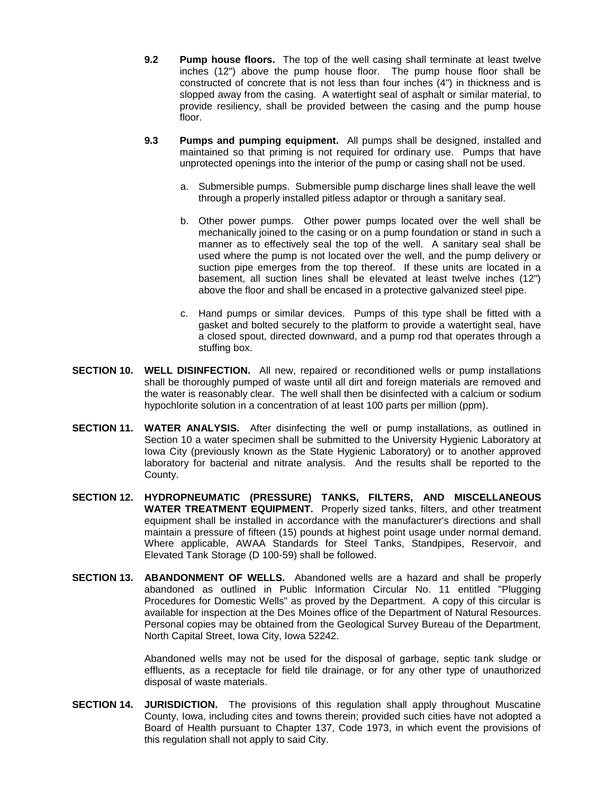- **9.2 Pump house floors.** The top of the well casing shall terminate at least twelve inches (12") above the pump house floor. The pump house floor shall be constructed of concrete that is not less than four inches (4") in thickness and is slopped away from the casing. A watertight seal of asphalt or similar material, to provide resiliency, shall be provided between the casing and the pump house floor.
- **9.3 Pumps and pumping equipment.** All pumps shall be designed, installed and maintained so that priming is not required for ordinary use. Pumps that have unprotected openings into the interior of the pump or casing shall not be used.
	- a. Submersible pumps. Submersible pump discharge lines shall leave the well through a properly installed pitless adaptor or through a sanitary seal.
	- b. Other power pumps. Other power pumps located over the well shall be mechanically joined to the casing or on a pump foundation or stand in such a manner as to effectively seal the top of the well. A sanitary seal shall be used where the pump is not located over the well, and the pump delivery or suction pipe emerges from the top thereof. If these units are located in a basement, all suction lines shall be elevated at least twelve inches (12") above the floor and shall be encased in a protective galvanized steel pipe.
	- c. Hand pumps or similar devices. Pumps of this type shall be fitted with a gasket and bolted securely to the platform to provide a watertight seal, have a closed spout, directed downward, and a pump rod that operates through a stuffing box.
- **SECTION 10. WELL DISINFECTION.** All new, repaired or reconditioned wells or pump installations shall be thoroughly pumped of waste until all dirt and foreign materials are removed and the water is reasonably clear. The well shall then be disinfected with a calcium or sodium hypochlorite solution in a concentration of at least 100 parts per million (ppm).
- **SECTION 11. WATER ANALYSIS.** After disinfecting the well or pump installations, as outlined in Section 10 a water specimen shall be submitted to the University Hygienic Laboratory at Iowa City (previously known as the State Hygienic Laboratory) or to another approved laboratory for bacterial and nitrate analysis. And the results shall be reported to the County.
- **SECTION 12. HYDROPNEUMATIC (PRESSURE) TANKS, FILTERS, AND MISCELLANEOUS WATER TREATMENT EQUIPMENT.** Properly sized tanks, filters, and other treatment equipment shall be installed in accordance with the manufacturer's directions and shall maintain a pressure of fifteen (15) pounds at highest point usage under normal demand. Where applicable, AWAA Standards for Steel Tanks, Standpipes, Reservoir, and Elevated Tank Storage (D 100-59) shall be followed.
- **SECTION 13. ABANDONMENT OF WELLS.** Abandoned wells are a hazard and shall be properly abandoned as outlined in Public Information Circular No. 11 entitled "Plugging Procedures for Domestic Wells" as proved by the Department. A copy of this circular is available for inspection at the Des Moines office of the Department of Natural Resources. Personal copies may be obtained from the Geological Survey Bureau of the Department, North Capital Street, Iowa City, Iowa 52242.

Abandoned wells may not be used for the disposal of garbage, septic tank sludge or effluents, as a receptacle for field tile drainage, or for any other type of unauthorized disposal of waste materials.

**SECTION 14. JURISDICTION.** The provisions of this regulation shall apply throughout Muscatine County, Iowa, including cites and towns therein; provided such cities have not adopted a Board of Health pursuant to Chapter 137, Code 1973, in which event the provisions of this regulation shall not apply to said City.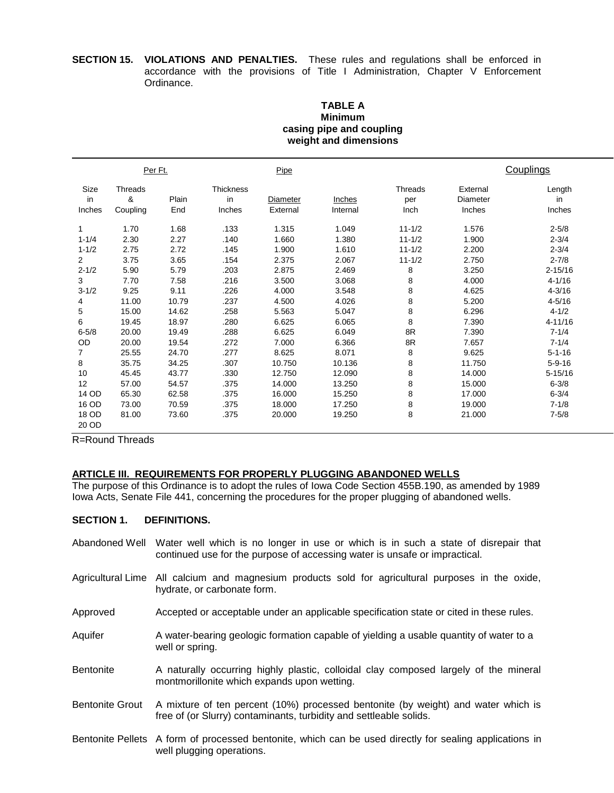#### **SECTION 15. VIOLATIONS AND PENALTIES.** These rules and regulations shall be enforced in accordance with the provisions of Title I Administration, Chapter V Enforcement Ordinance.

#### **TABLE A Minimum casing pipe and coupling weight and dimensions**

|                                                                                                          | Per Ft.                                                                                  |                                                                                          | Pipe                                                                                 |                                                                                                 |                                                                                                 |                                                                                          | Couplings                                                                                       |                                                                                                                                                    |
|----------------------------------------------------------------------------------------------------------|------------------------------------------------------------------------------------------|------------------------------------------------------------------------------------------|--------------------------------------------------------------------------------------|-------------------------------------------------------------------------------------------------|-------------------------------------------------------------------------------------------------|------------------------------------------------------------------------------------------|-------------------------------------------------------------------------------------------------|----------------------------------------------------------------------------------------------------------------------------------------------------|
| Size<br>in<br>Inches                                                                                     | Threads<br>&<br>Coupling                                                                 | Plain<br>End                                                                             | <b>Thickness</b><br>in<br>Inches                                                     | Diameter<br>External                                                                            | Inches<br>Internal                                                                              | Threads<br>per<br>Inch                                                                   | External<br>Diameter<br>Inches                                                                  | Length<br>in<br>Inches                                                                                                                             |
| 1<br>$1 - 1/4$<br>$1 - 1/2$<br>$\overline{2}$<br>$2 - 1/2$<br>3<br>$3 - 1/2$<br>4<br>5<br>6<br>$6 - 5/8$ | 1.70<br>2.30<br>2.75<br>3.75<br>5.90<br>7.70<br>9.25<br>11.00<br>15.00<br>19.45<br>20.00 | 1.68<br>2.27<br>2.72<br>3.65<br>5.79<br>7.58<br>9.11<br>10.79<br>14.62<br>18.97<br>19.49 | .133<br>.140<br>.145<br>.154<br>.203<br>.216<br>.226<br>.237<br>.258<br>.280<br>.288 | 1.315<br>1.660<br>1.900<br>2.375<br>2.875<br>3.500<br>4.000<br>4.500<br>5.563<br>6.625<br>6.625 | 1.049<br>1.380<br>1.610<br>2.067<br>2.469<br>3.068<br>3.548<br>4.026<br>5.047<br>6.065<br>6.049 | $11 - 1/2$<br>$11 - 1/2$<br>$11 - 1/2$<br>$11 - 1/2$<br>8<br>8<br>8<br>8<br>8<br>8<br>8R | 1.576<br>1.900<br>2.200<br>2.750<br>3.250<br>4.000<br>4.625<br>5.200<br>6.296<br>7.390<br>7.390 | $2 - 5/8$<br>$2 - 3/4$<br>$2 - 3/4$<br>$2 - 7/8$<br>$2 - 15/16$<br>$4 - 1/16$<br>$4 - 3/16$<br>$4 - 5/16$<br>$4 - 1/2$<br>$4 - 11/16$<br>$7 - 1/4$ |
| OD<br>7<br>8<br>10<br>12<br>14 OD<br>16 OD<br>18 OD<br>20 OD                                             | 20.00<br>25.55<br>35.75<br>45.45<br>57.00<br>65.30<br>73.00<br>81.00                     | 19.54<br>24.70<br>34.25<br>43.77<br>54.57<br>62.58<br>70.59<br>73.60                     | .272<br>.277<br>.307<br>.330<br>.375<br>.375<br>.375<br>.375                         | 7.000<br>8.625<br>10.750<br>12.750<br>14.000<br>16.000<br>18.000<br>20.000                      | 6.366<br>8.071<br>10.136<br>12.090<br>13.250<br>15.250<br>17.250<br>19.250                      | 8R<br>8<br>8<br>8<br>8<br>8<br>8<br>8                                                    | 7.657<br>9.625<br>11.750<br>14.000<br>15.000<br>17.000<br>19.000<br>21.000                      | $7 - 1/4$<br>$5 - 1 - 16$<br>$5 - 9 - 16$<br>$5 - 15/16$<br>$6 - 3/8$<br>$6 - 3/4$<br>$7 - 1/8$<br>$7 - 5/8$                                       |

R=Round Threads

# **ARTICLE III. REQUIREMENTS FOR PROPERLY PLUGGING ABANDONED WELLS**

The purpose of this Ordinance is to adopt the rules of Iowa Code Section 455B.190, as amended by 1989 Iowa Acts, Senate File 441, concerning the procedures for the proper plugging of abandoned wells.

# **SECTION 1. DEFINITIONS.**

- Abandoned Well Water well which is no longer in use or which is in such a state of disrepair that continued use for the purpose of accessing water is unsafe or impractical.
- Agricultural Lime All calcium and magnesium products sold for agricultural purposes in the oxide, hydrate, or carbonate form.
- Approved Accepted or acceptable under an applicable specification state or cited in these rules.
- Aquifer A water-bearing geologic formation capable of yielding a usable quantity of water to a well or spring.
- Bentonite A naturally occurring highly plastic, colloidal clay composed largely of the mineral montmorillonite which expands upon wetting.
- Bentonite Grout A mixture of ten percent (10%) processed bentonite (by weight) and water which is free of (or Slurry) contaminants, turbidity and settleable solids.
- Bentonite Pellets A form of processed bentonite, which can be used directly for sealing applications in well plugging operations.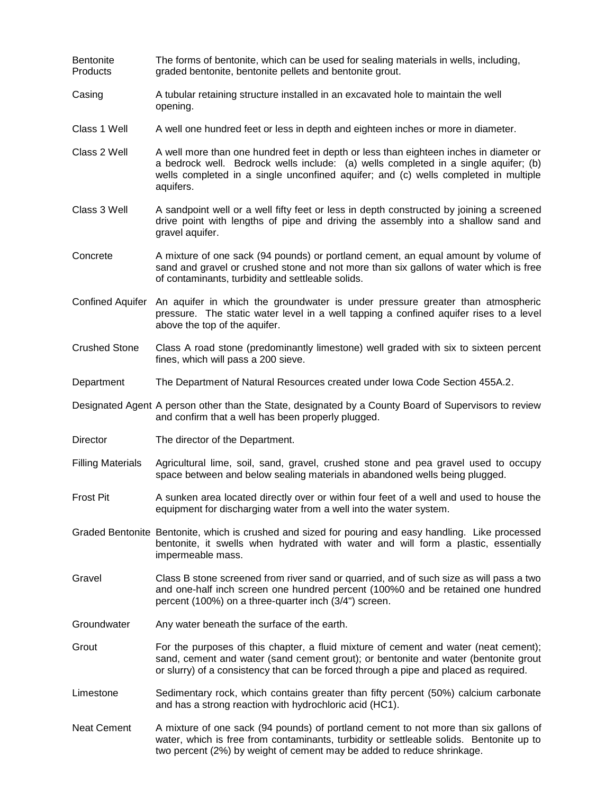| <b>Bentonite</b><br>Products | The forms of bentonite, which can be used for sealing materials in wells, including,<br>graded bentonite, bentonite pellets and bentonite grout.                                                                                                                                  |
|------------------------------|-----------------------------------------------------------------------------------------------------------------------------------------------------------------------------------------------------------------------------------------------------------------------------------|
| Casing                       | A tubular retaining structure installed in an excavated hole to maintain the well<br>opening.                                                                                                                                                                                     |
| Class 1 Well                 | A well one hundred feet or less in depth and eighteen inches or more in diameter.                                                                                                                                                                                                 |
| Class 2 Well                 | A well more than one hundred feet in depth or less than eighteen inches in diameter or<br>a bedrock well. Bedrock wells include: (a) wells completed in a single aquifer; (b)<br>wells completed in a single unconfined aquifer; and (c) wells completed in multiple<br>aquifers. |
| Class 3 Well                 | A sandpoint well or a well fifty feet or less in depth constructed by joining a screened<br>drive point with lengths of pipe and driving the assembly into a shallow sand and<br>gravel aquifer.                                                                                  |
| Concrete                     | A mixture of one sack (94 pounds) or portland cement, an equal amount by volume of<br>sand and gravel or crushed stone and not more than six gallons of water which is free<br>of contaminants, turbidity and settleable solids.                                                  |
|                              | Confined Aquifer An aquifer in which the groundwater is under pressure greater than atmospheric<br>pressure. The static water level in a well tapping a confined aquifer rises to a level<br>above the top of the aquifer.                                                        |
| <b>Crushed Stone</b>         | Class A road stone (predominantly limestone) well graded with six to sixteen percent<br>fines, which will pass a 200 sieve.                                                                                                                                                       |
| Department                   | The Department of Natural Resources created under Iowa Code Section 455A.2.                                                                                                                                                                                                       |
|                              | Designated Agent A person other than the State, designated by a County Board of Supervisors to review<br>and confirm that a well has been properly plugged.                                                                                                                       |
| Director                     | The director of the Department.                                                                                                                                                                                                                                                   |
| <b>Filling Materials</b>     | Agricultural lime, soil, sand, gravel, crushed stone and pea gravel used to occupy<br>space between and below sealing materials in abandoned wells being plugged.                                                                                                                 |
| <b>Frost Pit</b>             | A sunken area located directly over or within four feet of a well and used to house the<br>equipment for discharging water from a well into the water system.                                                                                                                     |
|                              | Graded Bentonite Bentonite, which is crushed and sized for pouring and easy handling. Like processed<br>bentonite, it swells when hydrated with water and will form a plastic, essentially<br>impermeable mass.                                                                   |
| Gravel                       | Class B stone screened from river sand or quarried, and of such size as will pass a two<br>and one-half inch screen one hundred percent (100%0 and be retained one hundred<br>percent (100%) on a three-quarter inch (3/4") screen.                                               |
| Groundwater                  | Any water beneath the surface of the earth.                                                                                                                                                                                                                                       |
| Grout                        | For the purposes of this chapter, a fluid mixture of cement and water (neat cement);<br>sand, cement and water (sand cement grout); or bentonite and water (bentonite grout<br>or slurry) of a consistency that can be forced through a pipe and placed as required.              |
| Limestone                    | Sedimentary rock, which contains greater than fifty percent (50%) calcium carbonate<br>and has a strong reaction with hydrochloric acid (HC1).                                                                                                                                    |
| <b>Neat Cement</b>           | A mixture of one sack (94 pounds) of portland cement to not more than six gallons of<br>water, which is free from contaminants, turbidity or settleable solids. Bentonite up to<br>two percent (2%) by weight of cement may be added to reduce shrinkage.                         |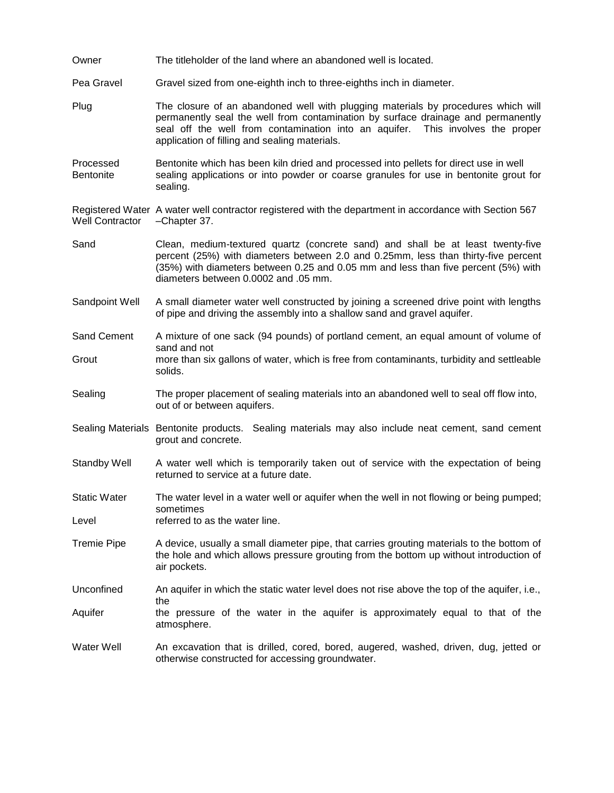| Owner                         | The titleholder of the land where an abandoned well is located.                                                                                                                                                                                                                                          |
|-------------------------------|----------------------------------------------------------------------------------------------------------------------------------------------------------------------------------------------------------------------------------------------------------------------------------------------------------|
| Pea Gravel                    | Gravel sized from one-eighth inch to three-eighths inch in diameter.                                                                                                                                                                                                                                     |
| Plug                          | The closure of an abandoned well with plugging materials by procedures which will<br>permanently seal the well from contamination by surface drainage and permanently<br>seal off the well from contamination into an aquifer. This involves the proper<br>application of filling and sealing materials. |
| Processed<br><b>Bentonite</b> | Bentonite which has been kiln dried and processed into pellets for direct use in well<br>sealing applications or into powder or coarse granules for use in bentonite grout for<br>sealing.                                                                                                               |
| <b>Well Contractor</b>        | Registered Water A water well contractor registered with the department in accordance with Section 567<br>-Chapter 37.                                                                                                                                                                                   |
| Sand                          | Clean, medium-textured quartz (concrete sand) and shall be at least twenty-five<br>percent (25%) with diameters between 2.0 and 0.25mm, less than thirty-five percent<br>(35%) with diameters between 0.25 and 0.05 mm and less than five percent (5%) with<br>diameters between 0.0002 and .05 mm.      |
| Sandpoint Well                | A small diameter water well constructed by joining a screened drive point with lengths<br>of pipe and driving the assembly into a shallow sand and gravel aquifer.                                                                                                                                       |
| Sand Cement                   | A mixture of one sack (94 pounds) of portland cement, an equal amount of volume of<br>sand and not                                                                                                                                                                                                       |
| Grout                         | more than six gallons of water, which is free from contaminants, turbidity and settleable<br>solids.                                                                                                                                                                                                     |
| Sealing                       | The proper placement of sealing materials into an abandoned well to seal off flow into,<br>out of or between aquifers.                                                                                                                                                                                   |
|                               | Sealing Materials Bentonite products. Sealing materials may also include neat cement, sand cement<br>grout and concrete.                                                                                                                                                                                 |
| <b>Standby Well</b>           | A water well which is temporarily taken out of service with the expectation of being<br>returned to service at a future date.                                                                                                                                                                            |
| <b>Static Water</b>           | The water level in a water well or aquifer when the well in not flowing or being pumped;                                                                                                                                                                                                                 |
| Level                         | sometimes<br>referred to as the water line.                                                                                                                                                                                                                                                              |
| <b>Tremie Pipe</b>            | A device, usually a small diameter pipe, that carries grouting materials to the bottom of<br>the hole and which allows pressure grouting from the bottom up without introduction of<br>air pockets.                                                                                                      |
| Unconfined                    | An aquifer in which the static water level does not rise above the top of the aquifer, i.e.,                                                                                                                                                                                                             |
| Aquifer                       | the<br>the pressure of the water in the aquifer is approximately equal to that of the<br>atmosphere.                                                                                                                                                                                                     |
| Water Well                    | An excavation that is drilled, cored, bored, augered, washed, driven, dug, jetted or<br>otherwise constructed for accessing groundwater.                                                                                                                                                                 |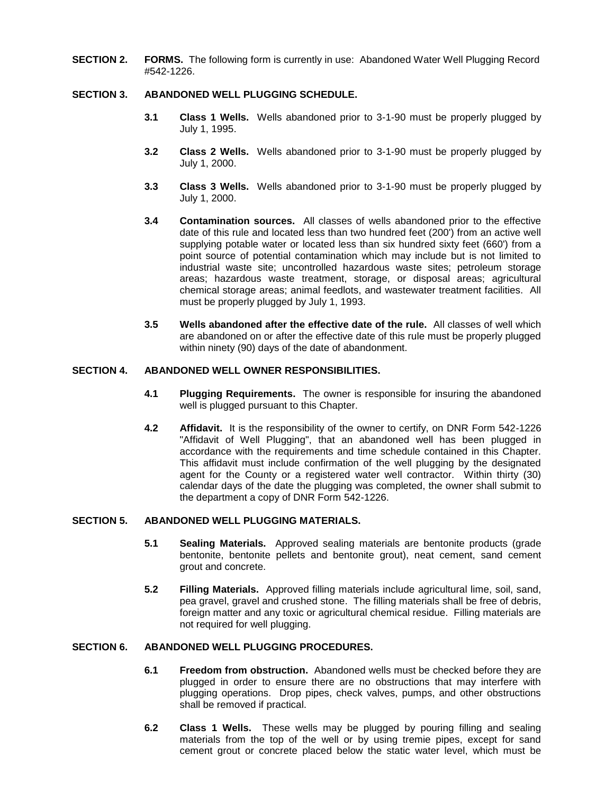**SECTION 2. FORMS.** The following form is currently in use: Abandoned Water Well Plugging Record #542-1226.

# **SECTION 3. ABANDONED WELL PLUGGING SCHEDULE.**

- **3.1 Class 1 Wells.** Wells abandoned prior to 3-1-90 must be properly plugged by July 1, 1995.
- **3.2 Class 2 Wells.** Wells abandoned prior to 3-1-90 must be properly plugged by July 1, 2000.
- **3.3 Class 3 Wells.** Wells abandoned prior to 3-1-90 must be properly plugged by July 1, 2000.
- **3.4 Contamination sources.** All classes of wells abandoned prior to the effective date of this rule and located less than two hundred feet (200') from an active well supplying potable water or located less than six hundred sixty feet (660') from a point source of potential contamination which may include but is not limited to industrial waste site; uncontrolled hazardous waste sites; petroleum storage areas; hazardous waste treatment, storage, or disposal areas; agricultural chemical storage areas; animal feedlots, and wastewater treatment facilities. All must be properly plugged by July 1, 1993.
- **3.5 Wells abandoned after the effective date of the rule.** All classes of well which are abandoned on or after the effective date of this rule must be properly plugged within ninety (90) days of the date of abandonment.

#### **SECTION 4. ABANDONED WELL OWNER RESPONSIBILITIES.**

- **4.1 Plugging Requirements.** The owner is responsible for insuring the abandoned well is plugged pursuant to this Chapter.
- **4.2 Affidavit.** It is the responsibility of the owner to certify, on DNR Form 542-1226 "Affidavit of Well Plugging", that an abandoned well has been plugged in accordance with the requirements and time schedule contained in this Chapter. This affidavit must include confirmation of the well plugging by the designated agent for the County or a registered water well contractor. Within thirty (30) calendar days of the date the plugging was completed, the owner shall submit to the department a copy of DNR Form 542-1226.

#### **SECTION 5. ABANDONED WELL PLUGGING MATERIALS.**

- **5.1 Sealing Materials.** Approved sealing materials are bentonite products (grade bentonite, bentonite pellets and bentonite grout), neat cement, sand cement grout and concrete.
- **5.2 Filling Materials.** Approved filling materials include agricultural lime, soil, sand, pea gravel, gravel and crushed stone. The filling materials shall be free of debris, foreign matter and any toxic or agricultural chemical residue. Filling materials are not required for well plugging.

# **SECTION 6. ABANDONED WELL PLUGGING PROCEDURES.**

- **6.1 Freedom from obstruction.** Abandoned wells must be checked before they are plugged in order to ensure there are no obstructions that may interfere with plugging operations. Drop pipes, check valves, pumps, and other obstructions shall be removed if practical.
- **6.2 Class 1 Wells.** These wells may be plugged by pouring filling and sealing materials from the top of the well or by using tremie pipes, except for sand cement grout or concrete placed below the static water level, which must be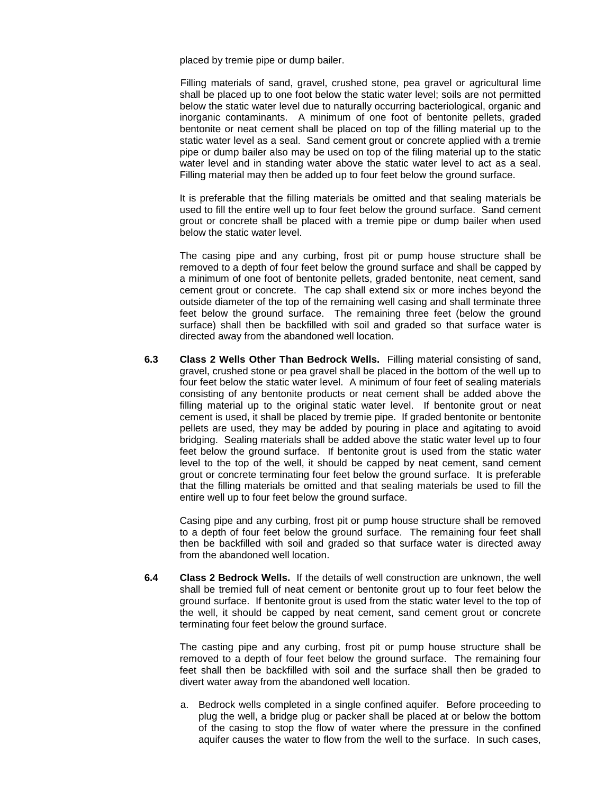placed by tremie pipe or dump bailer.

Filling materials of sand, gravel, crushed stone, pea gravel or agricultural lime shall be placed up to one foot below the static water level; soils are not permitted below the static water level due to naturally occurring bacteriological, organic and inorganic contaminants. A minimum of one foot of bentonite pellets, graded bentonite or neat cement shall be placed on top of the filling material up to the static water level as a seal. Sand cement grout or concrete applied with a tremie pipe or dump bailer also may be used on top of the filing material up to the static water level and in standing water above the static water level to act as a seal. Filling material may then be added up to four feet below the ground surface.

It is preferable that the filling materials be omitted and that sealing materials be used to fill the entire well up to four feet below the ground surface. Sand cement grout or concrete shall be placed with a tremie pipe or dump bailer when used below the static water level.

The casing pipe and any curbing, frost pit or pump house structure shall be removed to a depth of four feet below the ground surface and shall be capped by a minimum of one foot of bentonite pellets, graded bentonite, neat cement, sand cement grout or concrete. The cap shall extend six or more inches beyond the outside diameter of the top of the remaining well casing and shall terminate three feet below the ground surface. The remaining three feet (below the ground surface) shall then be backfilled with soil and graded so that surface water is directed away from the abandoned well location.

**6.3 Class 2 Wells Other Than Bedrock Wells.** Filling material consisting of sand, gravel, crushed stone or pea gravel shall be placed in the bottom of the well up to four feet below the static water level. A minimum of four feet of sealing materials consisting of any bentonite products or neat cement shall be added above the filling material up to the original static water level. If bentonite grout or neat cement is used, it shall be placed by tremie pipe. If graded bentonite or bentonite pellets are used, they may be added by pouring in place and agitating to avoid bridging. Sealing materials shall be added above the static water level up to four feet below the ground surface. If bentonite grout is used from the static water level to the top of the well, it should be capped by neat cement, sand cement grout or concrete terminating four feet below the ground surface. It is preferable that the filling materials be omitted and that sealing materials be used to fill the entire well up to four feet below the ground surface.

Casing pipe and any curbing, frost pit or pump house structure shall be removed to a depth of four feet below the ground surface. The remaining four feet shall then be backfilled with soil and graded so that surface water is directed away from the abandoned well location.

**6.4 Class 2 Bedrock Wells.** If the details of well construction are unknown, the well shall be tremied full of neat cement or bentonite grout up to four feet below the ground surface. If bentonite grout is used from the static water level to the top of the well, it should be capped by neat cement, sand cement grout or concrete terminating four feet below the ground surface.

The casting pipe and any curbing, frost pit or pump house structure shall be removed to a depth of four feet below the ground surface. The remaining four feet shall then be backfilled with soil and the surface shall then be graded to divert water away from the abandoned well location.

a. Bedrock wells completed in a single confined aquifer. Before proceeding to plug the well, a bridge plug or packer shall be placed at or below the bottom of the casing to stop the flow of water where the pressure in the confined aquifer causes the water to flow from the well to the surface. In such cases,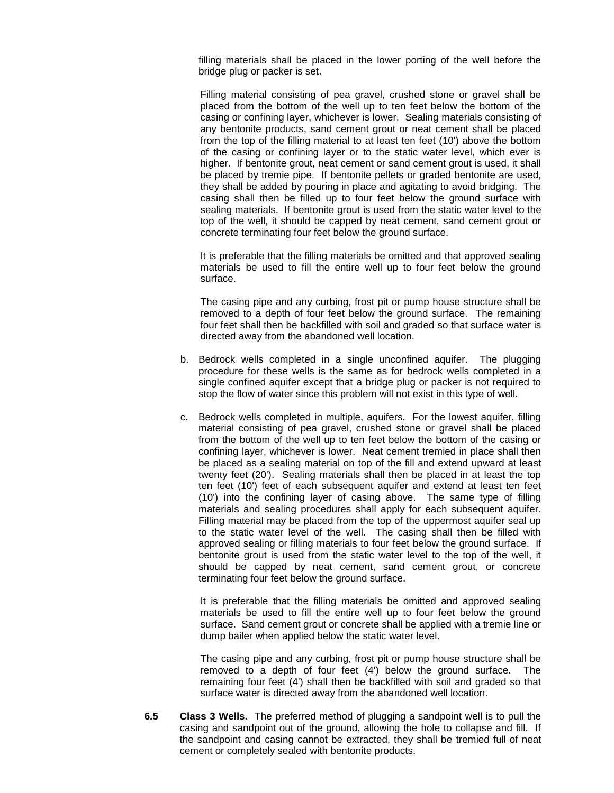filling materials shall be placed in the lower porting of the well before the bridge plug or packer is set.

Filling material consisting of pea gravel, crushed stone or gravel shall be placed from the bottom of the well up to ten feet below the bottom of the casing or confining layer, whichever is lower. Sealing materials consisting of any bentonite products, sand cement grout or neat cement shall be placed from the top of the filling material to at least ten feet (10') above the bottom of the casing or confining layer or to the static water level, which ever is higher. If bentonite grout, neat cement or sand cement grout is used, it shall be placed by tremie pipe. If bentonite pellets or graded bentonite are used, they shall be added by pouring in place and agitating to avoid bridging. The casing shall then be filled up to four feet below the ground surface with sealing materials. If bentonite grout is used from the static water level to the top of the well, it should be capped by neat cement, sand cement grout or concrete terminating four feet below the ground surface.

It is preferable that the filling materials be omitted and that approved sealing materials be used to fill the entire well up to four feet below the ground surface.

The casing pipe and any curbing, frost pit or pump house structure shall be removed to a depth of four feet below the ground surface. The remaining four feet shall then be backfilled with soil and graded so that surface water is directed away from the abandoned well location.

- b. Bedrock wells completed in a single unconfined aquifer. The plugging procedure for these wells is the same as for bedrock wells completed in a single confined aquifer except that a bridge plug or packer is not required to stop the flow of water since this problem will not exist in this type of well.
- c. Bedrock wells completed in multiple, aquifers. For the lowest aquifer, filling material consisting of pea gravel, crushed stone or gravel shall be placed from the bottom of the well up to ten feet below the bottom of the casing or confining layer, whichever is lower. Neat cement tremied in place shall then be placed as a sealing material on top of the fill and extend upward at least twenty feet (20'). Sealing materials shall then be placed in at least the top ten feet (10') feet of each subsequent aquifer and extend at least ten feet (10') into the confining layer of casing above. The same type of filling materials and sealing procedures shall apply for each subsequent aquifer. Filling material may be placed from the top of the uppermost aquifer seal up to the static water level of the well. The casing shall then be filled with approved sealing or filling materials to four feet below the ground surface. If bentonite grout is used from the static water level to the top of the well, it should be capped by neat cement, sand cement grout, or concrete terminating four feet below the ground surface.

It is preferable that the filling materials be omitted and approved sealing materials be used to fill the entire well up to four feet below the ground surface. Sand cement grout or concrete shall be applied with a tremie line or dump bailer when applied below the static water level.

The casing pipe and any curbing, frost pit or pump house structure shall be removed to a depth of four feet (4') below the ground surface. The remaining four feet (4') shall then be backfilled with soil and graded so that surface water is directed away from the abandoned well location.

**6.5 Class 3 Wells.** The preferred method of plugging a sandpoint well is to pull the casing and sandpoint out of the ground, allowing the hole to collapse and fill. If the sandpoint and casing cannot be extracted, they shall be tremied full of neat cement or completely sealed with bentonite products.